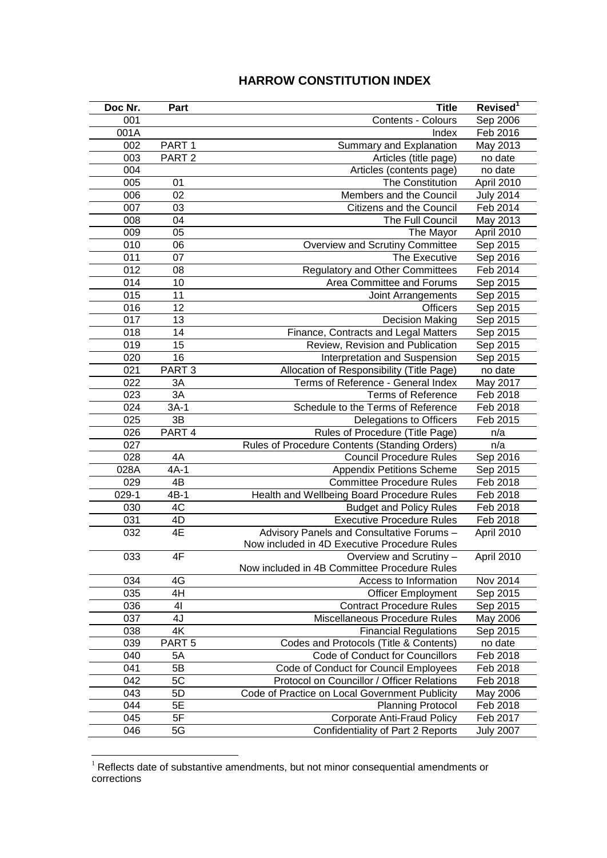## **HARROW CONSTITUTION INDEX**

| Doc Nr. | Part              | <b>Title</b>                                   | Revised <sup>1</sup> |
|---------|-------------------|------------------------------------------------|----------------------|
| 001     |                   | Contents - Colours                             | Sep 2006             |
| 001A    |                   | Index                                          | Feb 2016             |
| 002     | PART <sub>1</sub> | Summary and Explanation                        | May 2013             |
| 003     | PART <sub>2</sub> | Articles (title page)                          | no date              |
| 004     |                   | Articles (contents page)                       | no date              |
| 005     | 01                | The Constitution                               | April 2010           |
| 006     | 02                | Members and the Council                        | <b>July 2014</b>     |
| 007     | 03                | Citizens and the Council                       | Feb 2014             |
| 008     | 04                | The Full Council                               | May 2013             |
| 009     | 05                | The Mayor                                      | April 2010           |
| 010     | 06                | Overview and Scrutiny Committee                | Sep 2015             |
| 011     | 07                | The Executive                                  | Sep 2016             |
| 012     | 08                | <b>Regulatory and Other Committees</b>         | Feb 2014             |
| 014     | 10                | Area Committee and Forums                      | Sep 2015             |
| 015     | 11                | Joint Arrangements                             | Sep 2015             |
| 016     | 12                | <b>Officers</b>                                | Sep 2015             |
| 017     | 13                | <b>Decision Making</b>                         | Sep 2015             |
| 018     | 14                | Finance, Contracts and Legal Matters           | Sep 2015             |
| 019     | 15                | Review, Revision and Publication               | Sep 2015             |
| 020     | 16                | Interpretation and Suspension                  | Sep 2015             |
| 021     | PART <sub>3</sub> | Allocation of Responsibility (Title Page)      | no date              |
| 022     | 3A                | Terms of Reference - General Index             | May 2017             |
| 023     | 3A                | <b>Terms of Reference</b>                      | Feb 2018             |
| 024     | $3A-1$            | Schedule to the Terms of Reference             | Feb 2018             |
| 025     | 3B                | Delegations to Officers                        | Feb 2015             |
| 026     | PART 4            | Rules of Procedure (Title Page)                | n/a                  |
| 027     |                   | Rules of Procedure Contents (Standing Orders)  | n/a                  |
| 028     | 4A                | <b>Council Procedure Rules</b>                 | Sep 2016             |
| 028A    | $4A-1$            | <b>Appendix Petitions Scheme</b>               | Sep 2015             |
| 029     | $4\overline{B}$   | <b>Committee Procedure Rules</b>               | Feb 2018             |
| $029-1$ | $4B-1$            | Health and Wellbeing Board Procedure Rules     | Feb 2018             |
| 030     | 4C                | <b>Budget and Policy Rules</b>                 | Feb 2018             |
| 031     | 4D                | <b>Executive Procedure Rules</b>               | Feb 2018             |
| 032     | 4E                | Advisory Panels and Consultative Forums -      | April 2010           |
|         |                   | Now included in 4D Executive Procedure Rules   |                      |
| 033     | 4F                | Overview and Scrutiny -                        | April 2010           |
|         |                   | Now included in 4B Committee Procedure Rules   |                      |
| 034     | 4G                | Access to Information                          | Nov 2014             |
| 035     | 4H                | <b>Officer Employment</b>                      | Sep 2015             |
| 036     | 41                | <b>Contract Procedure Rules</b>                | Sep 2015             |
| 037     | 4J                | Miscellaneous Procedure Rules                  | May 2006             |
| 038     | 4K                | <b>Financial Regulations</b>                   | Sep 2015             |
| 039     | PART <sub>5</sub> | Codes and Protocols (Title & Contents)         | no date              |
| 040     | 5A                | Code of Conduct for Councillors                | Feb 2018             |
| 041     | 5B                | Code of Conduct for Council Employees          | Feb 2018             |
| 042     | 5C                | Protocol on Councillor / Officer Relations     | Feb 2018             |
| 043     | 5D                | Code of Practice on Local Government Publicity | May 2006             |
| 044     | 5E                | <b>Planning Protocol</b>                       | Feb 2018             |
| 045     | 5F                | <b>Corporate Anti-Fraud Policy</b>             | Feb 2017             |
| 046     | 5G                | Confidentiality of Part 2 Reports              | <b>July 2007</b>     |

 Reflects date of substantive amendments, but not minor consequential amendments or corrections

<u>.</u>